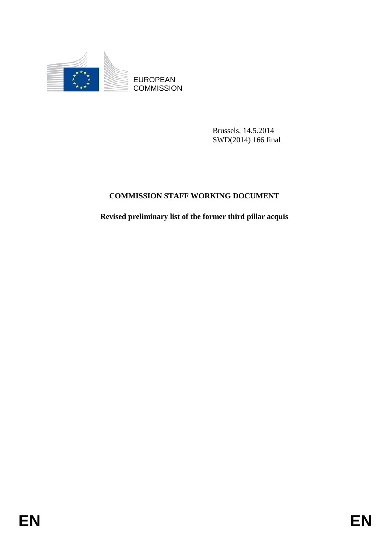

EUROPEAN **COMMISSION** 

> Brussels, 14.5.2014 SWD(2014) 166 final

## **COMMISSION STAFF WORKING DOCUMENT**

**Revised preliminary list of the former third pillar acquis**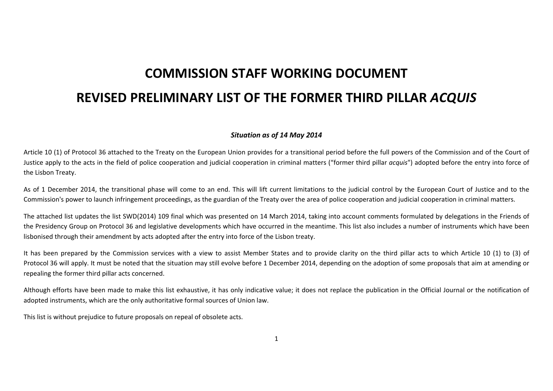## **COMMISSION STAFF WORKING DOCUMENT REVISED PRELIMINARY LIST OF THE FORMER THIRD PILLAR** *ACQUIS*

## *Situation as of 14 May 2014*

Article 10 (1) of Protocol 36 attached to the Treaty on the European Union provides for <sup>a</sup> transitional period before the full powers of the Commission and of the Court of Justice apply to the acts in the field of police cooperation and judicial cooperation in criminal matters ("former third pillar *acquis*") adopted before the entry into force of the Lisbon Treaty.

As of 1 December 2014, the transitional phase will come to an end. This will lift current limitations to the judicial control by the European Court of Justice and to the Commission's power to launch infringement proceedings, as the guardian of the Treaty over the area of police cooperation and judicial cooperation in criminal matters.

The attached list updates the list SWD(2014) 109 final which was presented on 14 March 2014, taking into account comments formulated by delegations in the Friends of the Presidency Group on Protocol 36 and legislative developments which have occurred in the meantime. This list also includes <sup>a</sup> number of instruments which have been lisbonised through their amendment by acts adopted after the entry into force of the Lisbon treaty.

It has been prepared by the Commission services with <sup>a</sup> view to assist Member States and to provide clarity on the third pillar acts to which Article 10 (1) to (3) of Protocol 36 will apply. It must be noted that the situation may still evolve before 1 December 2014, depending on the adoption of some proposals that aim at amending or repealing the former third pillar acts concerned.

Although efforts have been made to make this list exhaustive, it has only indicative value; it does not replace the publication in the Official Journal or the notification of adopted instruments, which are the only authoritative formal sources of Union law.

This list is without prejudice to future proposals on repeal of obsolete acts.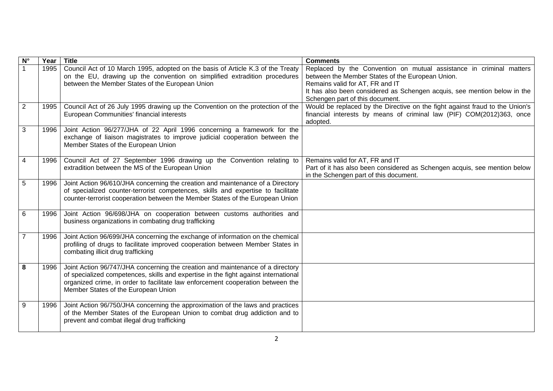| $\overline{\mathsf{N}^{\circ}}$ | Year | <b>Title</b>                                                                                                                                                                                                                                                                                    | <b>Comments</b>                                                                                                                                                                                                                                                           |
|---------------------------------|------|-------------------------------------------------------------------------------------------------------------------------------------------------------------------------------------------------------------------------------------------------------------------------------------------------|---------------------------------------------------------------------------------------------------------------------------------------------------------------------------------------------------------------------------------------------------------------------------|
|                                 | 1995 | Council Act of 10 March 1995, adopted on the basis of Article K.3 of the Treaty<br>on the EU, drawing up the convention on simplified extradition procedures<br>between the Member States of the European Union                                                                                 | Replaced by the Convention on mutual assistance in criminal matters<br>between the Member States of the European Union.<br>Remains valid for AT, FR and IT<br>It has also been considered as Schengen acquis, see mention below in the<br>Schengen part of this document. |
| $\overline{2}$                  | 1995 | Council Act of 26 July 1995 drawing up the Convention on the protection of the<br>European Communities' financial interests                                                                                                                                                                     | Would be replaced by the Directive on the fight against fraud to the Union's<br>financial interests by means of criminal law (PIF) COM(2012)363, once<br>adopted.                                                                                                         |
| $\mathbf{3}$                    | 1996 | Joint Action 96/277/JHA of 22 April 1996 concerning a framework for the<br>exchange of liaison magistrates to improve judicial cooperation between the<br>Member States of the European Union                                                                                                   |                                                                                                                                                                                                                                                                           |
| $\overline{4}$                  | 1996 | Council Act of 27 September 1996 drawing up the Convention relating to<br>extradition between the MS of the European Union                                                                                                                                                                      | Remains valid for AT, FR and IT<br>Part of it has also been considered as Schengen acquis, see mention below<br>in the Schengen part of this document.                                                                                                                    |
| $\overline{5}$                  | 1996 | Joint Action 96/610/JHA concerning the creation and maintenance of a Directory<br>of specialized counter-terrorist competences, skills and expertise to facilitate<br>counter-terrorist cooperation between the Member States of the European Union                                             |                                                                                                                                                                                                                                                                           |
| 6                               | 1996 | Joint Action 96/698/JHA on cooperation between customs authorities and<br>business organizations in combating drug trafficking                                                                                                                                                                  |                                                                                                                                                                                                                                                                           |
| $\overline{7}$                  | 1996 | Joint Action 96/699/JHA concerning the exchange of information on the chemical<br>profiling of drugs to facilitate improved cooperation between Member States in<br>combating illicit drug trafficking                                                                                          |                                                                                                                                                                                                                                                                           |
| 8                               | 1996 | Joint Action 96/747/JHA concerning the creation and maintenance of a directory<br>of specialized competences, skills and expertise in the fight against international<br>organized crime, in order to facilitate law enforcement cooperation between the<br>Member States of the European Union |                                                                                                                                                                                                                                                                           |
| $\overline{9}$                  | 1996 | Joint Action 96/750/JHA concerning the approximation of the laws and practices<br>of the Member States of the European Union to combat drug addiction and to<br>prevent and combat illegal drug trafficking                                                                                     |                                                                                                                                                                                                                                                                           |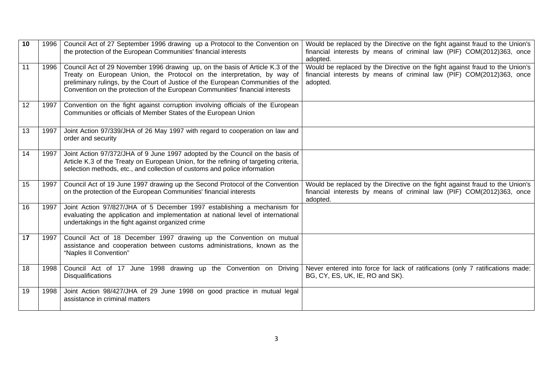| 10 | 1996 | Council Act of 27 September 1996 drawing up a Protocol to the Convention on<br>the protection of the European Communities' financial interests                                                                                                                                                                                | Would be replaced by the Directive on the fight against fraud to the Union's<br>financial interests by means of criminal law (PIF) COM(2012)363, once<br>adopted. |
|----|------|-------------------------------------------------------------------------------------------------------------------------------------------------------------------------------------------------------------------------------------------------------------------------------------------------------------------------------|-------------------------------------------------------------------------------------------------------------------------------------------------------------------|
| 11 | 1996 | Council Act of 29 November 1996 drawing up, on the basis of Article K.3 of the<br>Treaty on European Union, the Protocol on the interpretation, by way of<br>preliminary rulings, by the Court of Justice of the European Communities of the<br>Convention on the protection of the European Communities' financial interests | Would be replaced by the Directive on the fight against fraud to the Union's<br>financial interests by means of criminal law (PIF) COM(2012)363, once<br>adopted. |
| 12 | 1997 | Convention on the fight against corruption involving officials of the European<br>Communities or officials of Member States of the European Union                                                                                                                                                                             |                                                                                                                                                                   |
| 13 | 1997 | Joint Action 97/339/JHA of 26 May 1997 with regard to cooperation on law and<br>order and security                                                                                                                                                                                                                            |                                                                                                                                                                   |
| 14 | 1997 | Joint Action 97/372/JHA of 9 June 1997 adopted by the Council on the basis of<br>Article K.3 of the Treaty on European Union, for the refining of targeting criteria,<br>selection methods, etc., and collection of customs and police information                                                                            |                                                                                                                                                                   |
| 15 | 1997 | Council Act of 19 June 1997 drawing up the Second Protocol of the Convention<br>on the protection of the European Communities' financial interests                                                                                                                                                                            | Would be replaced by the Directive on the fight against fraud to the Union's<br>financial interests by means of criminal law (PIF) COM(2012)363, once<br>adopted. |
| 16 | 1997 | Joint Action 97/827/JHA of 5 December 1997 establishing a mechanism for<br>evaluating the application and implementation at national level of international<br>undertakings in the fight against organized crime                                                                                                              |                                                                                                                                                                   |
| 17 | 1997 | Council Act of 18 December 1997 drawing up the Convention on mutual<br>assistance and cooperation between customs administrations, known as the<br>"Naples II Convention"                                                                                                                                                     |                                                                                                                                                                   |
| 18 | 1998 | Council Act of 17 June 1998 drawing up the Convention on Driving<br><b>Disqualifications</b>                                                                                                                                                                                                                                  | Never entered into force for lack of ratifications (only 7 ratifications made:<br>BG, CY, ES, UK, IE, RO and SK).                                                 |
| 19 | 1998 | Joint Action 98/427/JHA of 29 June 1998 on good practice in mutual legal<br>assistance in criminal matters                                                                                                                                                                                                                    |                                                                                                                                                                   |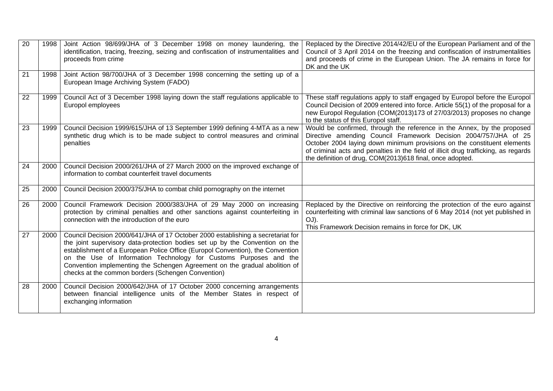| 20              | 1998 | Joint Action 98/699/JHA of 3 December 1998 on money laundering, the<br>identification, tracing, freezing, seizing and confiscation of instrumentalities and<br>proceeds from crime                                                                                                                                                                                                                                                                         | Replaced by the Directive 2014/42/EU of the European Parliament and of the<br>Council of 3 April 2014 on the freezing and confiscation of instrumentalities<br>and proceeds of crime in the European Union. The JA remains in force for<br>DK and the UK                                                                                                                   |
|-----------------|------|------------------------------------------------------------------------------------------------------------------------------------------------------------------------------------------------------------------------------------------------------------------------------------------------------------------------------------------------------------------------------------------------------------------------------------------------------------|----------------------------------------------------------------------------------------------------------------------------------------------------------------------------------------------------------------------------------------------------------------------------------------------------------------------------------------------------------------------------|
| $\overline{21}$ | 1998 | Joint Action 98/700/JHA of 3 December 1998 concerning the setting up of a<br>European Image Archiving System (FADO)                                                                                                                                                                                                                                                                                                                                        |                                                                                                                                                                                                                                                                                                                                                                            |
| 22              | 1999 | Council Act of 3 December 1998 laying down the staff regulations applicable to<br>Europol employees                                                                                                                                                                                                                                                                                                                                                        | These staff regulations apply to staff engaged by Europol before the Europol<br>Council Decision of 2009 entered into force. Article 55(1) of the proposal for a<br>new Europol Regulation (COM(2013)173 of 27/03/2013) proposes no change<br>to the status of this Europol staff.                                                                                         |
| 23              | 1999 | Council Decision 1999/615/JHA of 13 September 1999 defining 4-MTA as a new<br>synthetic drug which is to be made subject to control measures and criminal<br>penalties                                                                                                                                                                                                                                                                                     | Would be confirmed, through the reference in the Annex, by the proposed<br>Directive amending Council Framework Decision 2004/757/JHA of 25<br>October 2004 laying down minimum provisions on the constituent elements<br>of criminal acts and penalties in the field of illicit drug trafficking, as regards<br>the definition of drug, COM(2013)618 final, once adopted. |
| 24              | 2000 | Council Decision 2000/261/JHA of 27 March 2000 on the improved exchange of<br>information to combat counterfeit travel documents                                                                                                                                                                                                                                                                                                                           |                                                                                                                                                                                                                                                                                                                                                                            |
| 25              | 2000 | Council Decision 2000/375/JHA to combat child pornography on the internet                                                                                                                                                                                                                                                                                                                                                                                  |                                                                                                                                                                                                                                                                                                                                                                            |
| 26              | 2000 | Council Framework Decision 2000/383/JHA of 29 May 2000 on increasing<br>protection by criminal penalties and other sanctions against counterfeiting in<br>connection with the introduction of the euro                                                                                                                                                                                                                                                     | Replaced by the Directive on reinforcing the protection of the euro against<br>counterfeiting with criminal law sanctions of 6 May 2014 (not yet published in<br>OJ).<br>This Framework Decision remains in force for DK, UK                                                                                                                                               |
| 27              | 2000 | Council Decision 2000/641/JHA of 17 October 2000 establishing a secretariat for<br>the joint supervisory data-protection bodies set up by the Convention on the<br>establishment of a European Police Office (Europol Convention), the Convention<br>on the Use of Information Technology for Customs Purposes and the<br>Convention implementing the Schengen Agreement on the gradual abolition of<br>checks at the common borders (Schengen Convention) |                                                                                                                                                                                                                                                                                                                                                                            |
| 28              | 2000 | Council Decision 2000/642/JHA of 17 October 2000 concerning arrangements<br>between financial intelligence units of the Member States in respect of<br>exchanging information                                                                                                                                                                                                                                                                              |                                                                                                                                                                                                                                                                                                                                                                            |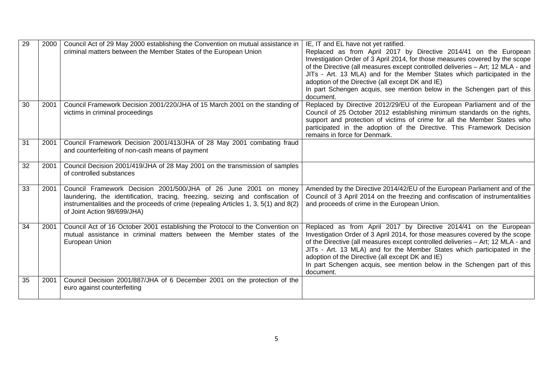| 29 | 2000 | Council Act of 29 May 2000 establishing the Convention on mutual assistance in<br>criminal matters between the Member States of the European Union                                                                                                                       | IE, IT and EL have not yet ratified.<br>Replaced as from April 2017 by Directive 2014/41 on the European<br>Investigation Order of 3 April 2014, for those measures covered by the scope<br>of the Directive (all measures except controlled deliveries - Art; 12 MLA - and<br>JITs - Art. 13 MLA) and for the Member States which participated in the<br>adoption of the Directive (all except DK and IE)<br>In part Schengen acquis, see mention below in the Schengen part of this<br>document. |
|----|------|--------------------------------------------------------------------------------------------------------------------------------------------------------------------------------------------------------------------------------------------------------------------------|----------------------------------------------------------------------------------------------------------------------------------------------------------------------------------------------------------------------------------------------------------------------------------------------------------------------------------------------------------------------------------------------------------------------------------------------------------------------------------------------------|
| 30 | 2001 | Council Framework Decision 2001/220/JHA of 15 March 2001 on the standing of<br>victims in criminal proceedings                                                                                                                                                           | Replaced by Directive 2012/29/EU of the European Parliament and of the<br>Council of 25 October 2012 establishing minimum standards on the rights,<br>support and protection of victims of crime for all the Member States who<br>participated in the adoption of the Directive. This Framework Decision<br>remains in force for Denmark.                                                                                                                                                          |
| 31 | 2001 | Council Framework Decision 2001/413/JHA of 28 May 2001 combating fraud<br>and counterfeiting of non-cash means of payment                                                                                                                                                |                                                                                                                                                                                                                                                                                                                                                                                                                                                                                                    |
| 32 | 2001 | Council Decision 2001/419/JHA of 28 May 2001 on the transmission of samples<br>of controlled substances                                                                                                                                                                  |                                                                                                                                                                                                                                                                                                                                                                                                                                                                                                    |
| 33 | 2001 | Council Framework Decision 2001/500/JHA of 26 June 2001 on money<br>laundering, the identification, tracing, freezing, seizing and confiscation of<br>instrumentalities and the proceeds of crime (repealing Articles 1, 3, 5(1) and 8(2)<br>of Joint Action 98/699/JHA) | Amended by the Directive 2014/42/EU of the European Parliament and of the<br>Council of 3 April 2014 on the freezing and confiscation of instrumentalities<br>and proceeds of crime in the European Union.                                                                                                                                                                                                                                                                                         |
| 34 | 2001 | Council Act of 16 October 2001 establishing the Protocol to the Convention on<br>mutual assistance in criminal matters between the Member states of the<br>European Union                                                                                                | Replaced as from April 2017 by Directive 2014/41 on the European<br>Investigation Order of 3 April 2014, for those measures covered by the scope<br>of the Directive (all measures except controlled deliveries - Art; 12 MLA - and<br>JITs - Art. 13 MLA) and for the Member States which participated in the<br>adoption of the Directive (all except DK and IE)<br>In part Schengen acquis, see mention below in the Schengen part of this<br>document.                                         |
| 35 | 2001 | Council Decision 2001/887/JHA of 6 December 2001 on the protection of the<br>euro against counterfeiting                                                                                                                                                                 |                                                                                                                                                                                                                                                                                                                                                                                                                                                                                                    |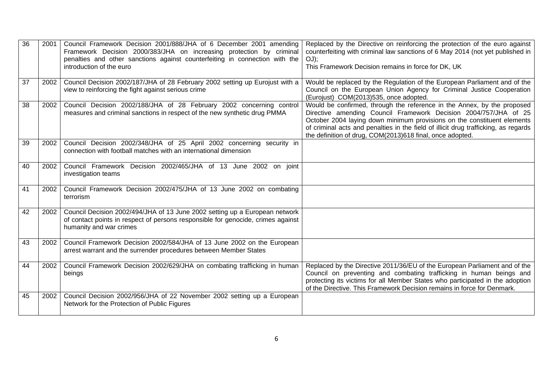| 36 | 2001 | Council Framework Decision 2001/888/JHA of 6 December 2001 amending<br>Framework Decision 2000/383/JHA on increasing protection by criminal<br>penalties and other sanctions against counterfeiting in connection with the<br>introduction of the euro | Replaced by the Directive on reinforcing the protection of the euro against<br>counterfeiting with criminal law sanctions of 6 May 2014 (not yet published in<br>$OJ$ ;<br>This Framework Decision remains in force for DK, UK                                                                                                                                             |
|----|------|--------------------------------------------------------------------------------------------------------------------------------------------------------------------------------------------------------------------------------------------------------|----------------------------------------------------------------------------------------------------------------------------------------------------------------------------------------------------------------------------------------------------------------------------------------------------------------------------------------------------------------------------|
| 37 | 2002 | Council Decision 2002/187/JHA of 28 February 2002 setting up Eurojust with a<br>view to reinforcing the fight against serious crime                                                                                                                    | Would be replaced by the Regulation of the European Parliament and of the<br>Council on the European Union Agency for Criminal Justice Cooperation<br>(Eurojust) COM(2013)535, once adopted.                                                                                                                                                                               |
| 38 | 2002 | Council Decision 2002/188/JHA of 28 February 2002 concerning control<br>measures and criminal sanctions in respect of the new synthetic drug PMMA                                                                                                      | Would be confirmed, through the reference in the Annex, by the proposed<br>Directive amending Council Framework Decision 2004/757/JHA of 25<br>October 2004 laying down minimum provisions on the constituent elements<br>of criminal acts and penalties in the field of illicit drug trafficking, as regards<br>the definition of drug, COM(2013)618 final, once adopted. |
| 39 | 2002 | Council Decision 2002/348/JHA of 25 April 2002 concerning security in<br>connection with football matches with an international dimension                                                                                                              |                                                                                                                                                                                                                                                                                                                                                                            |
| 40 | 2002 | Council Framework Decision 2002/465/JHA of 13 June 2002 on joint<br>investigation teams                                                                                                                                                                |                                                                                                                                                                                                                                                                                                                                                                            |
| 41 | 2002 | Council Framework Decision 2002/475/JHA of 13 June 2002 on combating<br>terrorism                                                                                                                                                                      |                                                                                                                                                                                                                                                                                                                                                                            |
| 42 | 2002 | Council Decision 2002/494/JHA of 13 June 2002 setting up a European network<br>of contact points in respect of persons responsible for genocide, crimes against<br>humanity and war crimes                                                             |                                                                                                                                                                                                                                                                                                                                                                            |
| 43 | 2002 | Council Framework Decision 2002/584/JHA of 13 June 2002 on the European<br>arrest warrant and the surrender procedures between Member States                                                                                                           |                                                                                                                                                                                                                                                                                                                                                                            |
| 44 | 2002 | Council Framework Decision 2002/629/JHA on combating trafficking in human<br>beings                                                                                                                                                                    | Replaced by the Directive 2011/36/EU of the European Parliament and of the<br>Council on preventing and combating trafficking in human beings and<br>protecting its victims for all Member States who participated in the adoption<br>of the Directive. This Framework Decision remains in force for Denmark.                                                              |
| 45 | 2002 | Council Decision 2002/956/JHA of 22 November 2002 setting up a European<br>Network for the Protection of Public Figures                                                                                                                                |                                                                                                                                                                                                                                                                                                                                                                            |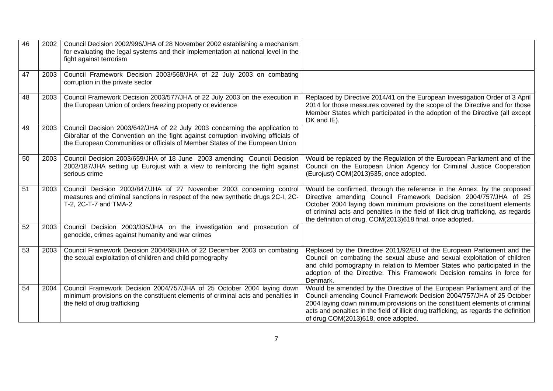| 46 | 2002 | Council Decision 2002/996/JHA of 28 November 2002 establishing a mechanism<br>for evaluating the legal systems and their implementation at national level in the<br>fight against terrorism                                                       |                                                                                                                                                                                                                                                                                                                                                                            |
|----|------|---------------------------------------------------------------------------------------------------------------------------------------------------------------------------------------------------------------------------------------------------|----------------------------------------------------------------------------------------------------------------------------------------------------------------------------------------------------------------------------------------------------------------------------------------------------------------------------------------------------------------------------|
| 47 | 2003 | Council Framework Decision 2003/568/JHA of 22 July 2003 on combating<br>corruption in the private sector                                                                                                                                          |                                                                                                                                                                                                                                                                                                                                                                            |
| 48 | 2003 | Council Framework Decision 2003/577/JHA of 22 July 2003 on the execution in<br>the European Union of orders freezing property or evidence                                                                                                         | Replaced by Directive 2014/41 on the European Investigation Order of 3 April<br>2014 for those measures covered by the scope of the Directive and for those<br>Member States which participated in the adoption of the Directive (all except<br>DK and IE).                                                                                                                |
| 49 | 2003 | Council Decision 2003/642/JHA of 22 July 2003 concerning the application to<br>Gibraltar of the Convention on the fight against corruption involving officials of<br>the European Communities or officials of Member States of the European Union |                                                                                                                                                                                                                                                                                                                                                                            |
| 50 | 2003 | Council Decision 2003/659/JHA of 18 June 2003 amending Council Decision<br>2002/187/JHA setting up Eurojust with a view to reinforcing the fight against<br>serious crime                                                                         | Would be replaced by the Regulation of the European Parliament and of the<br>Council on the European Union Agency for Criminal Justice Cooperation<br>(Eurojust) COM(2013)535, once adopted.                                                                                                                                                                               |
| 51 | 2003 | Council Decision 2003/847/JHA of 27 November 2003 concerning control<br>measures and criminal sanctions in respect of the new synthetic drugs 2C-I, 2C-<br>T-2, 2C-T-7 and TMA-2                                                                  | Would be confirmed, through the reference in the Annex, by the proposed<br>Directive amending Council Framework Decision 2004/757/JHA of 25<br>October 2004 laying down minimum provisions on the constituent elements<br>of criminal acts and penalties in the field of illicit drug trafficking, as regards<br>the definition of drug, COM(2013)618 final, once adopted. |
| 52 | 2003 | Council Decision 2003/335/JHA on the investigation and prosecution of<br>genocide, crimes against humanity and war crimes                                                                                                                         |                                                                                                                                                                                                                                                                                                                                                                            |
| 53 | 2003 | Council Framework Decision 2004/68/JHA of 22 December 2003 on combating<br>the sexual exploitation of children and child pornography                                                                                                              | Replaced by the Directive 2011/92/EU of the European Parliament and the<br>Council on combating the sexual abuse and sexual exploitation of children<br>and child pornography in relation to Member States who participated in the<br>adoption of the Directive. This Framework Decision remains in force for<br>Denmark.                                                  |
| 54 | 2004 | Council Framework Decision 2004/757/JHA of 25 October 2004 laying down<br>minimum provisions on the constituent elements of criminal acts and penalties in<br>the field of drug trafficking                                                       | Would be amended by the Directive of the European Parliament and of the<br>Council amending Council Framework Decision 2004/757/JHA of 25 October<br>2004 laying down minimum provisions on the constituent elements of criminal<br>acts and penalties in the field of illicit drug trafficking, as regards the definition<br>of drug COM(2013)618, once adopted.          |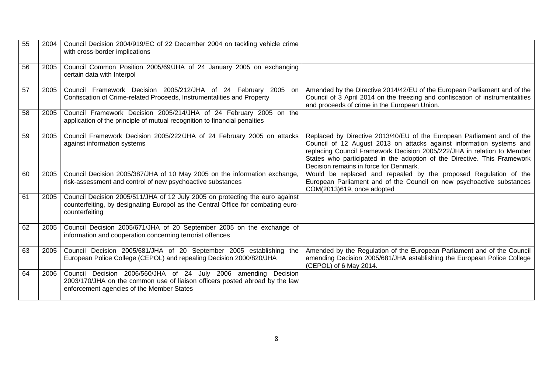| 55 | 2004 | Council Decision 2004/919/EC of 22 December 2004 on tackling vehicle crime<br>with cross-border implications                                                                                |                                                                                                                                                                                                                                                                                                                                                 |
|----|------|---------------------------------------------------------------------------------------------------------------------------------------------------------------------------------------------|-------------------------------------------------------------------------------------------------------------------------------------------------------------------------------------------------------------------------------------------------------------------------------------------------------------------------------------------------|
| 56 | 2005 | Council Common Position 2005/69/JHA of 24 January 2005 on exchanging<br>certain data with Interpol                                                                                          |                                                                                                                                                                                                                                                                                                                                                 |
| 57 | 2005 | Council Framework Decision 2005/212/JHA of 24 February 2005<br>on l<br>Confiscation of Crime-related Proceeds, Instrumentalities and Property                                               | Amended by the Directive 2014/42/EU of the European Parliament and of the<br>Council of 3 April 2014 on the freezing and confiscation of instrumentalities<br>and proceeds of crime in the European Union.                                                                                                                                      |
| 58 | 2005 | Council Framework Decision 2005/214/JHA of 24 February 2005 on the<br>application of the principle of mutual recognition to financial penalties                                             |                                                                                                                                                                                                                                                                                                                                                 |
| 59 | 2005 | Council Framework Decision 2005/222/JHA of 24 February 2005 on attacks<br>against information systems                                                                                       | Replaced by Directive 2013/40/EU of the European Parliament and of the<br>Council of 12 August 2013 on attacks against information systems and<br>replacing Council Framework Decision 2005/222/JHA in relation to Member<br>States who participated in the adoption of the Directive. This Framework<br>Decision remains in force for Denmark. |
| 60 | 2005 | Council Decision 2005/387/JHA of 10 May 2005 on the information exchange,<br>risk-assessment and control of new psychoactive substances                                                     | Would be replaced and repealed by the proposed Regulation of the<br>European Parliament and of the Council on new psychoactive substances<br>COM(2013)619, once adopted                                                                                                                                                                         |
| 61 | 2005 | Council Decision 2005/511/JHA of 12 July 2005 on protecting the euro against<br>counterfeiting, by designating Europol as the Central Office for combating euro-<br>counterfeiting          |                                                                                                                                                                                                                                                                                                                                                 |
| 62 | 2005 | Council Decision 2005/671/JHA of 20 September 2005 on the exchange of<br>information and cooperation concerning terrorist offences                                                          |                                                                                                                                                                                                                                                                                                                                                 |
| 63 | 2005 | Council Decision 2005/681/JHA of 20 September 2005 establishing the<br>European Police College (CEPOL) and repealing Decision 2000/820/JHA                                                  | Amended by the Regulation of the European Parliament and of the Council<br>amending Decision 2005/681/JHA establishing the European Police College<br>(CEPOL) of 6 May 2014.                                                                                                                                                                    |
| 64 | 2006 | Council Decision 2006/560/JHA of 24 July 2006 amending Decision<br>2003/170/JHA on the common use of liaison officers posted abroad by the law<br>enforcement agencies of the Member States |                                                                                                                                                                                                                                                                                                                                                 |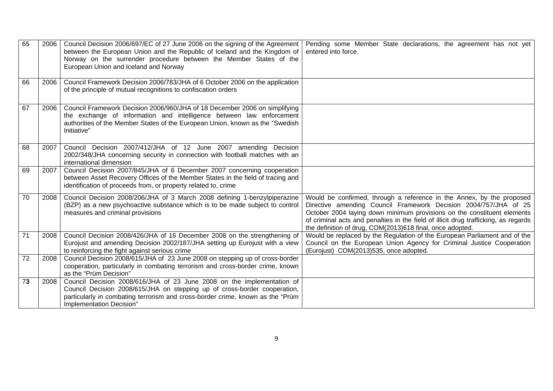| 65              | 2006 | Council Decision 2006/697/EC of 27 June 2006 on the signing of the Agreement<br>between the European Union and the Republic of Iceland and the Kingdom of<br>Norway on the surrender procedure between the Member States of the<br>European Union and Iceland and Norway | Pending some Member State declarations, the agreement has not yet<br>entered into force.                                                                                                                                                                                                                                                                                 |
|-----------------|------|--------------------------------------------------------------------------------------------------------------------------------------------------------------------------------------------------------------------------------------------------------------------------|--------------------------------------------------------------------------------------------------------------------------------------------------------------------------------------------------------------------------------------------------------------------------------------------------------------------------------------------------------------------------|
| 66              | 2006 | Council Framework Decision 2006/783/JHA of 6 October 2006 on the application<br>of the principle of mutual recognitions to confiscation orders                                                                                                                           |                                                                                                                                                                                                                                                                                                                                                                          |
| 67              | 2006 | Council Framework Decision 2006/960/JHA of 18 December 2006 on simplifying<br>the exchange of information and intelligence between law enforcement<br>authorities of the Member States of the European Union, known as the "Swedish"<br>Initiative"                      |                                                                                                                                                                                                                                                                                                                                                                          |
| 68              | 2007 | Council Decision 2007/412/JHA of 12 June 2007 amending Decision<br>2002/348/JHA concerning security in connection with football matches with an<br>international dimension                                                                                               |                                                                                                                                                                                                                                                                                                                                                                          |
| 69              | 2007 | Council Decision 2007/845/JHA of 6 December 2007 concerning cooperation<br>between Asset Recovery Offices of the Member States in the field of tracing and<br>identification of proceeds from, or property related to, crime                                             |                                                                                                                                                                                                                                                                                                                                                                          |
| 70              | 2008 | Council Decision 2008/206/JHA of 3 March 2008 defining 1-benzylpiperazine<br>(BZP) as a new psychoactive substance which is to be made subject to control<br>measures and criminal provisions                                                                            | Would be confirmed, through a reference in the Annex, by the proposed<br>Directive amending Council Framework Decision 2004/757/JHA of 25<br>October 2004 laying down minimum provisions on the constituent elements<br>of criminal acts and penalties in the field of illicit drug trafficking, as regards<br>the definition of drug, COM(2013)618 final, once adopted. |
| $\overline{71}$ | 2008 | Council Decision 2008/426/JHA of 16 December 2008 on the strengthening of<br>Eurojust and amending Decision 2002/187/JHA setting up Eurojust with a view<br>to reinforcing the fight against serious crime                                                               | Would be replaced by the Regulation of the European Parliament and of the<br>Council on the European Union Agency for Criminal Justice Cooperation<br>(Eurojust) COM(2013)535, once adopted.                                                                                                                                                                             |
| $\overline{72}$ | 2008 | Council Decision 2008/615/JHA of 23 June 2008 on stepping up of cross-border<br>cooperation, particularly in combating terrorism and cross-border crime, known<br>as the "Prüm Decision"                                                                                 |                                                                                                                                                                                                                                                                                                                                                                          |
| 73              | 2008 | Council Decision 2008/616/JHA of 23 June 2008 on the implementation of<br>Council Decision 2008/615/JHA on stepping up of cross-border cooperation,<br>particularly in combating terrorism and cross-border crime, known as the "Prüm<br>Implementation Decision"        |                                                                                                                                                                                                                                                                                                                                                                          |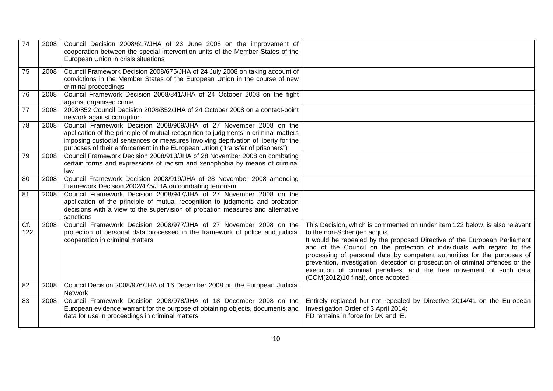| 74              | 2008 | Council Decision 2008/617/JHA of 23 June 2008 on the improvement of<br>cooperation between the special intervention units of the Member States of the<br>European Union in crisis situations                                                                                                                                    |                                                                                                                                                                                                                                                                                                                                                                                                                                                                                                                                               |
|-----------------|------|---------------------------------------------------------------------------------------------------------------------------------------------------------------------------------------------------------------------------------------------------------------------------------------------------------------------------------|-----------------------------------------------------------------------------------------------------------------------------------------------------------------------------------------------------------------------------------------------------------------------------------------------------------------------------------------------------------------------------------------------------------------------------------------------------------------------------------------------------------------------------------------------|
| 75              | 2008 | Council Framework Decision 2008/675/JHA of 24 July 2008 on taking account of<br>convictions in the Member States of the European Union in the course of new<br>criminal proceedings                                                                                                                                             |                                                                                                                                                                                                                                                                                                                                                                                                                                                                                                                                               |
| 76              | 2008 | Council Framework Decision 2008/841/JHA of 24 October 2008 on the fight<br>against organised crime                                                                                                                                                                                                                              |                                                                                                                                                                                                                                                                                                                                                                                                                                                                                                                                               |
| $\overline{77}$ | 2008 | 2008/852 Council Decision 2008/852/JHA of 24 October 2008 on a contact-point<br>network against corruption                                                                                                                                                                                                                      |                                                                                                                                                                                                                                                                                                                                                                                                                                                                                                                                               |
| 78              | 2008 | Council Framework Decision 2008/909/JHA of 27 November 2008 on the<br>application of the principle of mutual recognition to judgments in criminal matters<br>imposing custodial sentences or measures involving deprivation of liberty for the<br>purposes of their enforcement in the European Union ("transfer of prisoners") |                                                                                                                                                                                                                                                                                                                                                                                                                                                                                                                                               |
| 79              | 2008 | Council Framework Decision 2008/913/JHA of 28 November 2008 on combating<br>certain forms and expressions of racism and xenophobia by means of criminal<br>law                                                                                                                                                                  |                                                                                                                                                                                                                                                                                                                                                                                                                                                                                                                                               |
| 80              | 2008 | Council Framework Decision 2008/919/JHA of 28 November 2008 amending<br>Framework Decision 2002/475/JHA on combating terrorism                                                                                                                                                                                                  |                                                                                                                                                                                                                                                                                                                                                                                                                                                                                                                                               |
| 81              | 2008 | Council Framework Decision 2008/947/JHA of 27 November 2008 on the<br>application of the principle of mutual recognition to judgments and probation<br>decisions with a view to the supervision of probation measures and alternative<br>sanctions                                                                              |                                                                                                                                                                                                                                                                                                                                                                                                                                                                                                                                               |
| Cf.<br>122      | 2008 | Council Framework Decision 2008/977/JHA of 27 November 2008 on the<br>protection of personal data processed in the framework of police and judicial<br>cooperation in criminal matters                                                                                                                                          | This Decision, which is commented on under item 122 below, is also relevant<br>to the non-Schengen acquis.<br>It would be repealed by the proposed Directive of the European Parliament<br>and of the Council on the protection of individuals with regard to the<br>processing of personal data by competent authorities for the purposes of<br>prevention, investigation, detection or prosecution of criminal offences or the<br>execution of criminal penalties, and the free movement of such data<br>(COM(2012)10 final), once adopted. |
| 82              | 2008 | Council Decision 2008/976/JHA of 16 December 2008 on the European Judicial<br><b>Network</b>                                                                                                                                                                                                                                    |                                                                                                                                                                                                                                                                                                                                                                                                                                                                                                                                               |
| 83              | 2008 | Council Framework Decision 2008/978/JHA of 18 December 2008 on the<br>European evidence warrant for the purpose of obtaining objects, documents and<br>data for use in proceedings in criminal matters                                                                                                                          | Entirely replaced but not repealed by Directive 2014/41 on the European<br>Investigation Order of 3 April 2014;<br>FD remains in force for DK and IE.                                                                                                                                                                                                                                                                                                                                                                                         |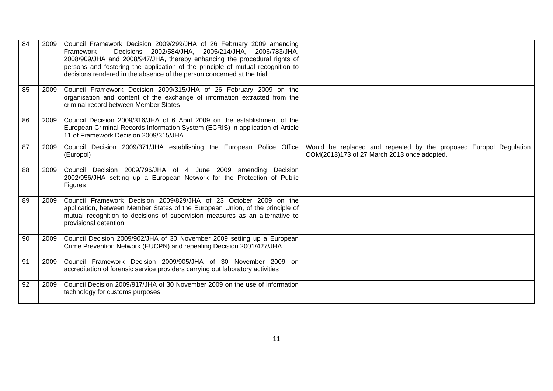| 84 | 2009 | Council Framework Decision 2009/299/JHA of 26 February 2009 amending<br>Decisions 2002/584/JHA, 2005/214/JHA, 2006/783/JHA,<br>Framework<br>2008/909/JHA and 2008/947/JHA, thereby enhancing the procedural rights of<br>persons and fostering the application of the principle of mutual recognition to<br>decisions rendered in the absence of the person concerned at the trial |                                                                                                                  |
|----|------|------------------------------------------------------------------------------------------------------------------------------------------------------------------------------------------------------------------------------------------------------------------------------------------------------------------------------------------------------------------------------------|------------------------------------------------------------------------------------------------------------------|
| 85 | 2009 | Council Framework Decision 2009/315/JHA of 26 February 2009 on the<br>organisation and content of the exchange of information extracted from the<br>criminal record between Member States                                                                                                                                                                                          |                                                                                                                  |
| 86 | 2009 | Council Decision 2009/316/JHA of 6 April 2009 on the establishment of the<br>European Criminal Records Information System (ECRIS) in application of Article<br>11 of Framework Decision 2009/315/JHA                                                                                                                                                                               |                                                                                                                  |
| 87 | 2009 | Council Decision 2009/371/JHA establishing the European Police Office<br>(Europol)                                                                                                                                                                                                                                                                                                 | Would be replaced and repealed by the proposed Europol Regulation<br>COM(2013)173 of 27 March 2013 once adopted. |
| 88 | 2009 | Council Decision 2009/796/JHA of 4 June 2009 amending Decision<br>2002/956/JHA setting up a European Network for the Protection of Public<br><b>Figures</b>                                                                                                                                                                                                                        |                                                                                                                  |
| 89 | 2009 | Council Framework Decision 2009/829/JHA of 23 October 2009 on the<br>application, between Member States of the European Union, of the principle of<br>mutual recognition to decisions of supervision measures as an alternative to<br>provisional detention                                                                                                                        |                                                                                                                  |
| 90 | 2009 | Council Decision 2009/902/JHA of 30 November 2009 setting up a European<br>Crime Prevention Network (EUCPN) and repealing Decision 2001/427/JHA                                                                                                                                                                                                                                    |                                                                                                                  |
| 91 | 2009 | Council Framework Decision 2009/905/JHA of 30 November 2009 on<br>accreditation of forensic service providers carrying out laboratory activities                                                                                                                                                                                                                                   |                                                                                                                  |
| 92 | 2009 | Council Decision 2009/917/JHA of 30 November 2009 on the use of information<br>technology for customs purposes                                                                                                                                                                                                                                                                     |                                                                                                                  |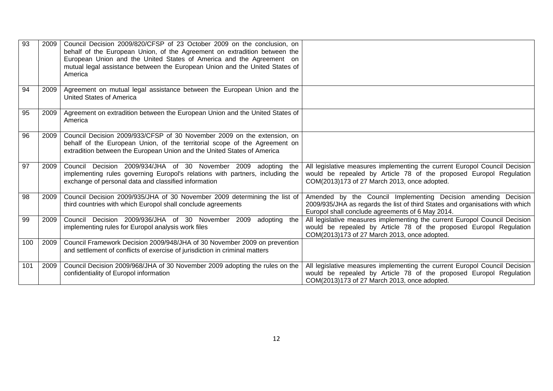| 93  | 2009 | Council Decision 2009/820/CFSP of 23 October 2009 on the conclusion, on<br>behalf of the European Union, of the Agreement on extradition between the<br>European Union and the United States of America and the Agreement on<br>mutual legal assistance between the European Union and the United States of<br>America |                                                                                                                                                                                                     |
|-----|------|------------------------------------------------------------------------------------------------------------------------------------------------------------------------------------------------------------------------------------------------------------------------------------------------------------------------|-----------------------------------------------------------------------------------------------------------------------------------------------------------------------------------------------------|
| 94  | 2009 | Agreement on mutual legal assistance between the European Union and the<br><b>United States of America</b>                                                                                                                                                                                                             |                                                                                                                                                                                                     |
| 95  | 2009 | Agreement on extradition between the European Union and the United States of<br>America                                                                                                                                                                                                                                |                                                                                                                                                                                                     |
| 96  | 2009 | Council Decision 2009/933/CFSP of 30 November 2009 on the extension, on<br>behalf of the European Union, of the territorial scope of the Agreement on<br>extradition between the European Union and the United States of America                                                                                       |                                                                                                                                                                                                     |
| 97  | 2009 | Council Decision 2009/934/JHA of 30 November 2009 adopting the<br>implementing rules governing Europol's relations with partners, including the<br>exchange of personal data and classified information                                                                                                                | All legislative measures implementing the current Europol Council Decision<br>would be repealed by Article 78 of the proposed Europol Regulation<br>COM(2013)173 of 27 March 2013, once adopted.    |
| 98  | 2009 | Council Decision 2009/935/JHA of 30 November 2009 determining the list of<br>third countries with which Europol shall conclude agreements                                                                                                                                                                              | Amended by the Council Implementing Decision amending Decision<br>2009/935/JHA as regards the list of third States and organisations with which<br>Europol shall conclude agreements of 6 May 2014. |
| 99  | 2009 | Council Decision 2009/936/JHA of 30 November 2009<br>adopting the<br>implementing rules for Europol analysis work files                                                                                                                                                                                                | All legislative measures implementing the current Europol Council Decision<br>would be repealed by Article 78 of the proposed Europol Regulation<br>COM(2013)173 of 27 March 2013, once adopted.    |
| 100 | 2009 | Council Framework Decision 2009/948/JHA of 30 November 2009 on prevention<br>and settlement of conflicts of exercise of jurisdiction in criminal matters                                                                                                                                                               |                                                                                                                                                                                                     |
| 101 | 2009 | Council Decision 2009/968/JHA of 30 November 2009 adopting the rules on the<br>confidentiality of Europol information                                                                                                                                                                                                  | All legislative measures implementing the current Europol Council Decision<br>would be repealed by Article 78 of the proposed Europol Regulation<br>COM(2013)173 of 27 March 2013, once adopted.    |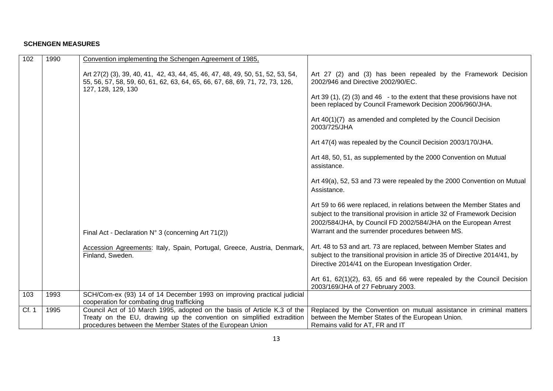## **SCHENGEN MEASURES**

| 102   | 1990 | Convention implementing the Schengen Agreement of 1985,                                                                                                                                                         |                                                                                                                                                                                                                                                                            |
|-------|------|-----------------------------------------------------------------------------------------------------------------------------------------------------------------------------------------------------------------|----------------------------------------------------------------------------------------------------------------------------------------------------------------------------------------------------------------------------------------------------------------------------|
|       |      | Art 27(2) (3), 39, 40, 41, 42, 43, 44, 45, 46, 47, 48, 49, 50, 51, 52, 53, 54,<br>55, 56, 57, 58, 59, 60, 61, 62, 63, 64, 65, 66, 67, 68, 69, 71, 72, 73, 126,<br>127, 128, 129, 130                            | Art 27 (2) and (3) has been repealed by the Framework Decision<br>2002/946 and Directive 2002/90/EC.<br>Art 39 (1), (2) (3) and 46 - to the extent that these provisions have not<br>been replaced by Council Framework Decision 2006/960/JHA.                             |
|       |      |                                                                                                                                                                                                                 | Art 40(1)(7) as amended and completed by the Council Decision<br>2003/725/JHA                                                                                                                                                                                              |
|       |      |                                                                                                                                                                                                                 | Art 47(4) was repealed by the Council Decision 2003/170/JHA.                                                                                                                                                                                                               |
|       |      |                                                                                                                                                                                                                 | Art 48, 50, 51, as supplemented by the 2000 Convention on Mutual<br>assistance.                                                                                                                                                                                            |
|       |      |                                                                                                                                                                                                                 | Art 49(a), 52, 53 and 73 were repealed by the 2000 Convention on Mutual<br>Assistance.                                                                                                                                                                                     |
|       |      | Final Act - Declaration $N^{\circ}$ 3 (concerning Art 71(2))                                                                                                                                                    | Art 59 to 66 were replaced, in relations between the Member States and<br>subject to the transitional provision in article 32 of Framework Decision<br>2002/584/JHA, by Council FD 2002/584/JHA on the European Arrest<br>Warrant and the surrender procedures between MS. |
|       |      | Accession Agreements: Italy, Spain, Portugal, Greece, Austria, Denmark,<br>Finland, Sweden.                                                                                                                     | Art. 48 to 53 and art. 73 are replaced, between Member States and<br>subject to the transitional provision in article 35 of Directive 2014/41, by<br>Directive 2014/41 on the European Investigation Order.                                                                |
|       |      |                                                                                                                                                                                                                 | Art 61, 62(1)(2), 63, 65 and 66 were repealed by the Council Decision<br>2003/169/JHA of 27 February 2003.                                                                                                                                                                 |
| 103   | 1993 | SCH/Com-ex (93) 14 of 14 December 1993 on improving practical judicial<br>cooperation for combating drug trafficking                                                                                            |                                                                                                                                                                                                                                                                            |
| Cf. 1 | 1995 | Council Act of 10 March 1995, adopted on the basis of Article K.3 of the<br>Treaty on the EU, drawing up the convention on simplified extradition<br>procedures between the Member States of the European Union | Replaced by the Convention on mutual assistance in criminal matters<br>between the Member States of the European Union.<br>Remains valid for AT, FR and IT                                                                                                                 |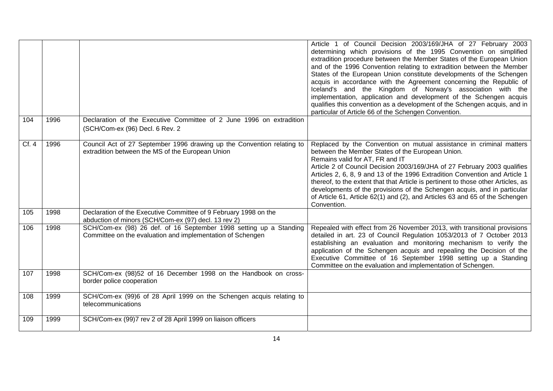|      |      |                                                                                                                                  | Article 1 of Council Decision 2003/169/JHA of 27 February 2003<br>determining which provisions of the 1995 Convention on simplified<br>extradition procedure between the Member States of the European Union<br>and of the 1996 Convention relating to extradition between the Member<br>States of the European Union constitute developments of the Schengen<br>acquis in accordance with the Agreement concerning the Republic of<br>Iceland's and the Kingdom of Norway's association with the<br>implementation, application and development of the Schengen acquis<br>qualifies this convention as a development of the Schengen acquis, and in<br>particular of Article 66 of the Schengen Convention. |
|------|------|----------------------------------------------------------------------------------------------------------------------------------|--------------------------------------------------------------------------------------------------------------------------------------------------------------------------------------------------------------------------------------------------------------------------------------------------------------------------------------------------------------------------------------------------------------------------------------------------------------------------------------------------------------------------------------------------------------------------------------------------------------------------------------------------------------------------------------------------------------|
| 104  | 1996 | Declaration of the Executive Committee of 2 June 1996 on extradition<br>(SCH/Com-ex (96) Decl. 6 Rev. 2                          |                                                                                                                                                                                                                                                                                                                                                                                                                                                                                                                                                                                                                                                                                                              |
| Cf.4 | 1996 | Council Act of 27 September 1996 drawing up the Convention relating to<br>extradition between the MS of the European Union       | Replaced by the Convention on mutual assistance in criminal matters<br>between the Member States of the European Union.<br>Remains valid for AT, FR and IT<br>Article 2 of Council Decision 2003/169/JHA of 27 February 2003 qualifies<br>Articles 2, 6, 8, 9 and 13 of the 1996 Extradition Convention and Article 1<br>thereof, to the extent that that Article is pertinent to those other Articles, as<br>developments of the provisions of the Schengen acquis, and in particular<br>of Article 61, Article 62(1) and (2), and Articles 63 and 65 of the Schengen<br>Convention.                                                                                                                        |
| 105  | 1998 | Declaration of the Executive Committee of 9 February 1998 on the<br>abduction of minors (SCH/Com-ex (97) decl. 13 rev 2)         |                                                                                                                                                                                                                                                                                                                                                                                                                                                                                                                                                                                                                                                                                                              |
| 106  | 1998 | SCH/Com-ex (98) 26 def. of 16 September 1998 setting up a Standing<br>Committee on the evaluation and implementation of Schengen | Repealed with effect from 26 November 2013, with transitional provisions<br>detailed in art. 23 of Council Regulation 1053/2013 of 7 October 2013<br>establishing an evaluation and monitoring mechanism to verify the<br>application of the Schengen acquis and repealing the Decision of the<br>Executive Committee of 16 September 1998 setting up a Standing<br>Committee on the evaluation and implementation of Schengen.                                                                                                                                                                                                                                                                              |
| 107  | 1998 | SCH/Com-ex (98)52 of 16 December 1998 on the Handbook on cross-<br>border police cooperation                                     |                                                                                                                                                                                                                                                                                                                                                                                                                                                                                                                                                                                                                                                                                                              |
| 108  | 1999 | SCH/Com-ex (99)6 of 28 April 1999 on the Schengen acquis relating to<br>telecommunications                                       |                                                                                                                                                                                                                                                                                                                                                                                                                                                                                                                                                                                                                                                                                                              |
| 109  | 1999 | SCH/Com-ex (99)7 rev 2 of 28 April 1999 on liaison officers                                                                      |                                                                                                                                                                                                                                                                                                                                                                                                                                                                                                                                                                                                                                                                                                              |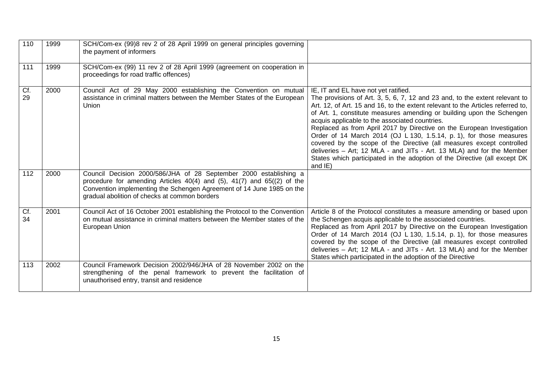| 110       | 1999 | SCH/Com-ex (99)8 rev 2 of 28 April 1999 on general principles governing<br>the payment of informers                                                                                                                                                                           |                                                                                                                                                                                                                                                                                                                                                                                                                                                                                                                                                                                                                                                                                                                              |
|-----------|------|-------------------------------------------------------------------------------------------------------------------------------------------------------------------------------------------------------------------------------------------------------------------------------|------------------------------------------------------------------------------------------------------------------------------------------------------------------------------------------------------------------------------------------------------------------------------------------------------------------------------------------------------------------------------------------------------------------------------------------------------------------------------------------------------------------------------------------------------------------------------------------------------------------------------------------------------------------------------------------------------------------------------|
| 111       | 1999 | SCH/Com-ex (99) 11 rev 2 of 28 April 1999 (agreement on cooperation in<br>proceedings for road traffic offences)                                                                                                                                                              |                                                                                                                                                                                                                                                                                                                                                                                                                                                                                                                                                                                                                                                                                                                              |
| Cf.<br>29 | 2000 | Council Act of 29 May 2000 establishing the Convention on mutual<br>assistance in criminal matters between the Member States of the European<br>Union                                                                                                                         | IE, IT and EL have not yet ratified.<br>The provisions of Art. 3, 5, 6, 7, 12 and 23 and, to the extent relevant to<br>Art. 12, of Art. 15 and 16, to the extent relevant to the Articles referred to,<br>of Art. 1, constitute measures amending or building upon the Schengen<br>acquis applicable to the associated countries.<br>Replaced as from April 2017 by Directive on the European Investigation<br>Order of 14 March 2014 (OJ L 130, 1.5.14, p. 1), for those measures<br>covered by the scope of the Directive (all measures except controlled<br>deliveries - Art; 12 MLA - and JITs - Art. 13 MLA) and for the Member<br>States which participated in the adoption of the Directive (all except DK<br>and IE) |
| 112       | 2000 | Council Decision 2000/586/JHA of 28 September 2000 establishing a<br>procedure for amending Articles $40(4)$ and $(5)$ , $41(7)$ and $65(2)$ of the<br>Convention implementing the Schengen Agreement of 14 June 1985 on the<br>gradual abolition of checks at common borders |                                                                                                                                                                                                                                                                                                                                                                                                                                                                                                                                                                                                                                                                                                                              |
| Cf.<br>34 | 2001 | Council Act of 16 October 2001 establishing the Protocol to the Convention<br>on mutual assistance in criminal matters between the Member states of the<br>European Union                                                                                                     | Article 8 of the Protocol constitutes a measure amending or based upon<br>the Schengen acquis applicable to the associated countries.<br>Replaced as from April 2017 by Directive on the European Investigation<br>Order of 14 March 2014 (OJ L 130, 1.5.14, p. 1), for those measures<br>covered by the scope of the Directive (all measures except controlled<br>deliveries - Art; 12 MLA - and JITs - Art. 13 MLA) and for the Member<br>States which participated in the adoption of the Directive                                                                                                                                                                                                                       |
| 113       | 2002 | Council Framework Decision 2002/946/JHA of 28 November 2002 on the<br>strengthening of the penal framework to prevent the facilitation of<br>unauthorised entry, transit and residence                                                                                        |                                                                                                                                                                                                                                                                                                                                                                                                                                                                                                                                                                                                                                                                                                                              |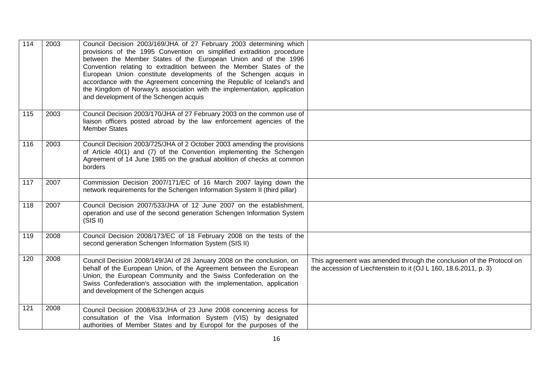| 114 | 2003 | Council Decision 2003/169/JHA of 27 February 2003 determining which<br>provisions of the 1995 Convention on simplified extradition procedure<br>between the Member States of the European Union and of the 1996<br>Convention relating to extradition between the Member States of the<br>European Union constitute developments of the Schengen acquis in<br>accordance with the Agreement concerning the Republic of Iceland's and<br>the Kingdom of Norway's association with the implementation, application<br>and development of the Schengen acquis |                                                                                                                                          |
|-----|------|------------------------------------------------------------------------------------------------------------------------------------------------------------------------------------------------------------------------------------------------------------------------------------------------------------------------------------------------------------------------------------------------------------------------------------------------------------------------------------------------------------------------------------------------------------|------------------------------------------------------------------------------------------------------------------------------------------|
| 115 | 2003 | Council Decision 2003/170/JHA of 27 February 2003 on the common use of<br>liaison officers posted abroad by the law enforcement agencies of the<br><b>Member States</b>                                                                                                                                                                                                                                                                                                                                                                                    |                                                                                                                                          |
| 116 | 2003 | Council Decision 2003/725/JHA of 2 October 2003 amending the provisions<br>of Article 40(1) and (7) of the Convention implementing the Schengen<br>Agreement of 14 June 1985 on the gradual abolition of checks at common<br>borders                                                                                                                                                                                                                                                                                                                       |                                                                                                                                          |
| 117 | 2007 | Commission Decision 2007/171/EC of 16 March 2007 laying down the<br>network requirements for the Schengen Information System II (third pillar)                                                                                                                                                                                                                                                                                                                                                                                                             |                                                                                                                                          |
| 118 | 2007 | Council Decision 2007/533/JHA of 12 June 2007 on the establishment,<br>operation and use of the second generation Schengen Information System<br>(SIS II)                                                                                                                                                                                                                                                                                                                                                                                                  |                                                                                                                                          |
| 119 | 2008 | Council Decision 2008/173/EC of 18 February 2008 on the tests of the<br>second generation Schengen Information System (SIS II)                                                                                                                                                                                                                                                                                                                                                                                                                             |                                                                                                                                          |
| 120 | 2008 | Council Decision 2008/149/JAI of 28 January 2008 on the conclusion, on<br>behalf of the European Union, of the Agreement between the European<br>Union, the European Community and the Swiss Confederation on the<br>Swiss Confederation's association with the implementation, application<br>and development of the Schengen acquis                                                                                                                                                                                                                      | This agreement was amended through the conclusion of the Protocol on<br>the accession of Liechtenstein to it (OJ L 160, 18.6.2011, p. 3) |
| 121 | 2008 | Council Decision 2008/633/JHA of 23 June 2008 concerning access for<br>consultation of the Visa Information System (VIS) by designated<br>authorities of Member States and by Europol for the purposes of the                                                                                                                                                                                                                                                                                                                                              |                                                                                                                                          |